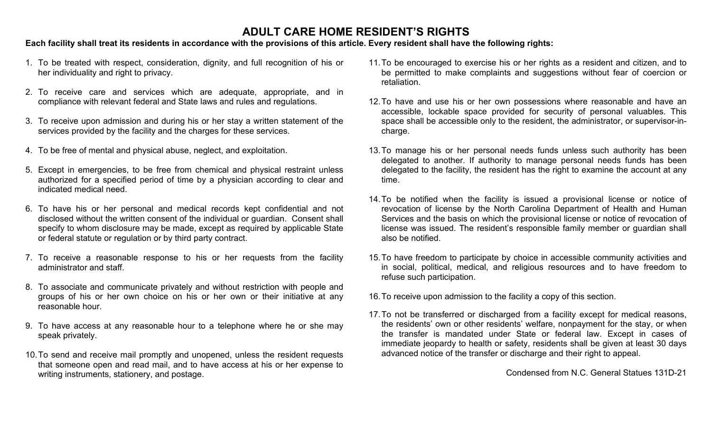# **ADULT CARE HOME RESIDENT'S RIGHTS**

## **Each facility shall treat its residents in accordance with the provisions of this article. Every resident shall have the following rights:**

- 1. To be treated with respect, consideration, dignity, and full recognition of his or her individuality and right to privacy.
- 2. To receive care and services which are adequate, appropriate, and in compliance with relevant federal and State laws and rules and regulations.
- 3. To receive upon admission and during his or her stay a written statement of the services provided by the facility and the charges for these services.
- 4. To be free of mental and physical abuse, neglect, and exploitation.
- 5. Except in emergencies, to be free from chemical and physical restraint unless authorized for a specified period of time by a physician according to clear and indicated medical need.
- 6. To have his or her personal and medical records kept confidential and not disclosed without the written consent of the individual or guardian. Consent shall specify to whom disclosure may be made, except as required by applicable State or federal statute or regulation or by third party contract.
- 7. To receive a reasonable response to his or her requests from the facility administrator and staff.
- 8. To associate and communicate privately and without restriction with people and groups of his or her own choice on his or her own or their initiative at any reasonable hour.
- 9. To have access at any reasonable hour to a telephone where he or she may speak privately.
- 10.To send and receive mail promptly and unopened, unless the resident requests that someone open and read mail, and to have access at his or her expense to writing instruments, stationery, and postage.
- 11.To be encouraged to exercise his or her rights as a resident and citizen, and to be permitted to make complaints and suggestions without fear of coercion or retaliation.
- 12.To have and use his or her own possessions where reasonable and have an accessible, lockable space provided for security of personal valuables. This space shall be accessible only to the resident, the administrator, or supervisor-incharge.
- 13.To manage his or her personal needs funds unless such authority has been delegated to another. If authority to manage personal needs funds has been delegated to the facility, the resident has the right to examine the account at any time.
- 14.To be notified when the facility is issued a provisional license or notice of revocation of license by the North Carolina Department of Health and Human Services and the basis on which the provisional license or notice of revocation of license was issued. The resident's responsible family member or guardian shall also be notified.
- 15.To have freedom to participate by choice in accessible community activities and in social, political, medical, and religious resources and to have freedom to refuse such participation.
- 16.To receive upon admission to the facility a copy of this section.
- 17.To not be transferred or discharged from a facility except for medical reasons, the residents' own or other residents' welfare, nonpayment for the stay, or when the transfer is mandated under State or federal law. Except in cases of immediate jeopardy to health or safety, residents shall be given at least 30 days advanced notice of the transfer or discharge and their right to appeal.

Condensed from N.C. General Statues 131D-21